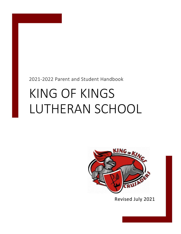## 2021-2022 Parent and Student Handbook

# KING OF KINGS LUTHERAN SCHOOL



Revised July 2021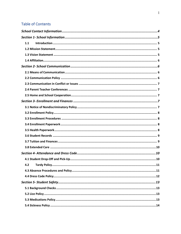## Table of Contents

| 1.1 |
|-----|
|     |
|     |
|     |
|     |
|     |
|     |
|     |
|     |
|     |
|     |
|     |
|     |
|     |
|     |
|     |
|     |
|     |
|     |
|     |
|     |
| 4.2 |
|     |
|     |
|     |
|     |
|     |
|     |
|     |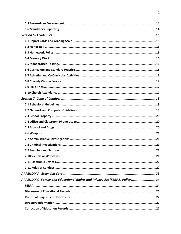| APPENDIX C- Family and Educational Rights and Privacy Act (FERPA) Policy24 |  |
|----------------------------------------------------------------------------|--|
|                                                                            |  |
|                                                                            |  |
|                                                                            |  |
|                                                                            |  |
|                                                                            |  |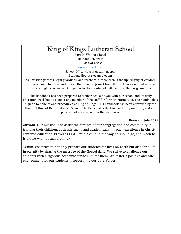# King of Kings Lutheran School

1101 N. Wymore Road Maitland, FL 32751 PH: 407-628-5696 www.visitkok.com School Office Hours: 7:30am-3:30pm Student Hours: 8:00am-3:00pm

As Christian parents, legal guardians, and teachers, our concern is the upbringing of children who have come to know and to love their Savior, Jesus Christ. It is to Him alone that we give praise and glory as we work together in the training of children that He has given to us.

This handbook has been prepared to further acquaint you with our school and its daily operation. Feel free to contact any member of the staff for further information. The handbook is a guide to policies and procedures at King of Kings. This handbook has been approved by the Board of King of Kings Lutheran School. The Principal is the final authority on these, and any policies not covered within the handbook.

#### **Revised: July 2021**

*Mission***:** Our mission is to assist the families of our congregation and community in training their children, both spiritually and academically, through excellence in Christcentered education. Proverbs 22:6 "Train a child in the way he should go, and when he is old he will not turn from it."

*Vision***:** We strive to not only prepare our students for lives on Earth but also for a life in eternity by sharing the message of the Gospel daily. We strive to challenge our students with a rigorous academic curriculum for them. We foster a positive and safe environment for our students incorporating our Core Values.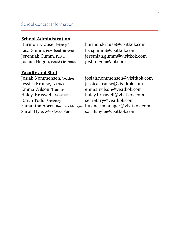## **School Administration**

Lisa Gumm, Preschool Director lisa.gumm@visitkok.com Joshua Hilgen, Board Chairman joshhilgen@aol.com

## **Faculty and Staff**

Jessica Krause, Teacher jessica.krause@visitkok.com Emma Wilson, Teacher emma.wilson@visitkok.com Haley, Braswell, Assistant haley.braswell@visitkok.com Dawn Todd, Secretary secretary@visitkok.com Sarah Hyle, After School Care sarah.hyle@visitkok.com

Harmon Krause, Principal harmon.krause@visitkok.com Jeremiah Gumm, Pastor jeremiah.gumm@visitkok.com

Josiah Nommensen, Teacher josiah.nommensen@visitkok.com Samantha Abreu Business Manager businessmanager@visitkok.com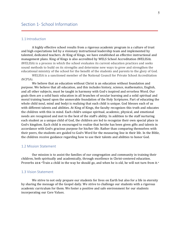#### 1.1 Introduction

A highly effective school results from a rigorous academic program in a culture of trust and high expectations led by a visionary instructional leadership team and implemented by talented, dedicated teachers. At King of Kings, we have established an effective instructional and management plans. King of Kings is also accredited by WELS School Accreditation (WELSSA). (WELSSA) is a process in which the school evaluates its current education practices and seeks sound methods to build on its strengths and determine new ways to grow and strengthen the educational ministry of the school for the benefit of the students and parents to the glory of God.

WELSSA is a sanctioned member of the National Council for Private School Accreditation (NCPSA).

We believe that an education without Christ is an education without foundation and purpose. We believe that all education, and this includes history, science, mathematics, English, and all other subjects, must be taught in harmony with God's inspired and errorless Word. Our goals then are a solid basic education in all branches of secular learning and a solid spiritual and moral training based upon the unmovable foundation of the Holy Scriptures. Part of educating the whole child (soul, mind and body) is realizing that each child is unique. God blesses each of us with different talents and abilities. At King of Kings, the faculty recognizes this truth and educates the children with this in mind. Each child's unique spiritual, academic, physical, and emotional needs are recognized and met to the best of the staff's ability. In addition to the staff nurturing each student as a unique child of God, the children are led to recognize their own special place in God's kingdom. Each child is encouraged to realize that he/she has been given gifts and talents in accordance with God's gracious purpose for his/her life. Rather than comparing themselves with their peers, the students are guided to God's Word for the measuring line in their life. In the Bible, the children receive guidance regarding how to use their talents and abilities to honor God.

#### 1.2 Mission Statement

Our mission is to assist the families of our congregation and community in training their children, both spiritually and academically, through excellence in Christ-centered education. Proverbs 22:6 "Train a child in the way he should go, and when he is old, he will not turn from it."

#### 1.3 Vision Statement

We strive to not only prepare our students for lives on Earth but also for a life in eternity by sharing the message of the Gospel daily. We strive to challenge our students with a rigorous academic curriculum for them. We foster a positive and safe environment for our students incorporating our Core Values.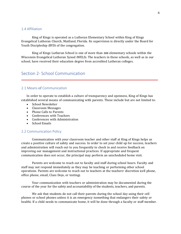#### 1.4 Affiliation

King of Kings is operated as a Lutheran Elementary School within King of Kings Evangelical Lutheran Church, Maitland, Florida. Its supervision is directly under the Board for Youth Discipleship (BYD) of the congregation.

King of Kings Lutheran School is one of more than 300 elementary schools within the Wisconsin Evangelical Lutheran Synod (WELS). The teachers in these schools, as well as in our school, have received their education degree from accredited Lutheran colleges.

## Section 2- School Communication

#### 2.1 Means of Communication

In order to operate to establish a culture of transparency and openness, King of Kings has established several means of communicating with parents. These include but are not limited to:

- School Newsletter
- Classroom Messages
- Phone Calls to Parents
- Conferences with Teachers
- Conferences with Administration
- School Emails

#### 2.2 Communication Policy

Communication with your classroom teacher and other staff at King of Kings helps us create a positive culture of safety and success. In order to set your child up for success, teachers and administration will reach out to you frequently to check in and receive feedback on improving our management and instructional practices. If appropriate and frequent communication does not occur, the principal may perform an unscheduled home visit.

Parents are welcome to reach out to faculty and staff during school hours. Faculty and staff may not respond immediately as they may be teaching or performing other school operations. Parents are welcome to reach out to teachers at the teachers' discretion (cell phone, office phone, email, Class Dojo, or texting).

Your communication with teachers or administration may be documented during the course of the year for the safety and accountability of the students, teachers, and parents.

We ask that students do not call their parents during the school day using their cell phones or school phones unless it is an emergency (something that endangers their safety or health). If a child needs to communicate home, it will be done through a faculty or staff member.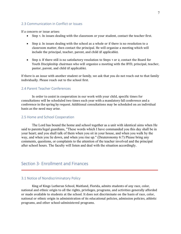#### 2.3 Communication in Conflict or Issues

If a concern or issue arises:

- Step 1. In issues dealing with the classroom or your student, contact the teacher first.
- Step 2. In issues dealing with the school as a whole or if there is no resolution to a classroom matter, then contact the principal. He will organize a meeting which will include the principal, teacher, parent, and child (if applicable).
- Step 3. If there still is no satisfactory resolution to Steps 1 or 2, contact the Board for Youth Discipleship chairman who will organize a meeting with the BYD, principal, teacher, pastor, parent, and child (if applicable).

If there is an issue with another student or family, we ask that you do not reach out to that family individually. Please reach out to the school first.

#### 2.4 Parent Teacher Conferences

In order to assist in cooperation in our work with your child, specific times for consultations will be scheduled two times each year with a mandatory fall conference and a conference in the spring by request. Additional consultations may be scheduled on an individual basis as the need may arise.

#### 2.5 Home and School Cooperation

The Lord has bound the home and school together as a unit with identical aims when He said to parents/legal guardians, "These words which I have commanded you this day shall be in your heart; and you shall talk of them when you sit in your house, and when you walk by the way, and when you lie down, and when you rise up." (Deuteronomy 6:7) Please bring any comments, questions, or complaints to the attention of the teacher involved and the principal after school hours. The faculty will listen and deal with the situation accordingly.

## Section 3- Enrollment and Finances

#### 3.1 Notice of Nondiscriminatory Policy

King of Kings Lutheran School, Maitland, Florida, admits students of any race, color, national and ethnic origin to all the rights, privileges, programs, and activities generally afforded or made available to students at the school. It does not discriminate on the basis of race, color, national or ethnic origin in administration of its educational policies, admission policies, athletic programs, and other school-administered programs.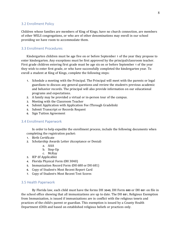#### 3.2 Enrollment Policy

Children whose families are members of King of Kings, have no church connection, are members of other WELS congregations, or who are of other denominations may enroll in our school providing we have room to accommodate them.

#### 3.3 Enrollment Procedures

Kindergarten children must be age five on or before September 1 of the year they propose to enter kindergarten. Any exceptions must be first approved by the principal/classroom teacher. First grade children entering first grade must be age six on or before September 1 of the year they wish to enter first grade, or who have successfully completed the kindergarten year. To enroll a student at King of Kings, complete the following steps:

- 1. Schedule a meeting with the Principal. The Principal will meet with the parents or legal guardians to discuss any general questions and review the student's previous academic and behavior records. The principal will also provide information on our educational programs and expectations.
- 2. A family may be provided a virtual or in-person tour of the campus.
- 3. Meeting with the Classroom Teacher
- 4. Submit Application with Application Fee (Through Gradelink)
- 5. Submit Transcript or Records Request
- 6. Sign Tuition Agreement

#### 3.4 Enrollment Paperwork

In order to help expedite the enrollment process, include the following documents when completing the registration packet:

- 1. Birth Certificate
- 2. Scholarship Awards Letter (Acceptance or Denial)
	- a. AAA
	- b. Step-Up
	- c. McKay
- 3. IEP (If Applicable)
- 4. Florida Physical Form (DH 3040)
- 5. Immunization Record Form (DH 680 or DH 681)
- 6. Copy of Student's Most Recent Report Card
- 7. Copy of Student's Most Recent Test Scores

#### 3.5 Health Paperwork

By Florida law, each child must have the forms DH 3040, DH Form 680 or DH 681 on file in the school office showing that all immunizations are up to date. The DH 681, Religious Exemption from Immunization, is issued if immunizations are in conflict with the religious tenets and practices of the child's parent or guardian. This exemption is issued by a County Health Department (CHD) and based on established religious beliefs or practices only.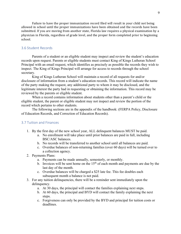Failure to have the proper immunization record filed will result in your child not being allowed in school until the proper immunizations have been obtained and the records have been submitted. If you are moving from another state, Florida law requires a physical examination by a physician in Florida, regardless of grade level, and the proper form completed prior to beginning school.

#### 3.6 Student Records

Parents of a student or an eligible student may inspect and review the student's education records upon request. Parents or eligible students must contact King of Kings Lutheran School Principal with an email request, which identifies as precisely as possible the records they wish to inspect. The King of Kings Principal will arrange for access to records through the school secretary.

King of Kings Lutheran School will maintain a record of all requests for and/or disclosure of information from a student's education records. This record will indicate the name of the party making the request, any additional party to whom it may be disclosed, and the legitimate interest the party had in requesting or obtaining the information. This record may be reviewed by the parents or eligible student.

When a record contains information about students other than a parent's child or the eligible student, the parent or eligible student may not inspect and review the portion of the record which pertains to other students.

The following sections are in the appendix of the handbook: (FERPA Policy, Disclosure of Education Records, and Correction of Education Records).

#### 3.7 Tuition and Finances

- 1. By the first day of the new school year, ALL delinquent balances MUST be paid.
	- a. No enrollment will take place until prior balances are paid in full, including BSC/ASC balances.
	- b. No records will be transferred to another school until all balances are paid.
	- c. Overdue balances of non-returning families (over 60 days) will be turned over to a collection agency.
- 2. Payments Plans:
	- a. Payments can be made annually, semesterly, or monthly.
	- b. Invoices will be sent home on the  $15<sup>th</sup>$  of each month and payments are due by the last day of the month.
	- c. Overdue balances will be charged a \$25 late fee. This fee doubles each subsequent month a balance is not paid.
- 3. For any tuition delinquencies, there will be a reminder sent immediately upon the delinquency.
	- a. At 30 days, the principal will contact the families explaining next steps.
	- b. At 60 days, the principal and BYD will contact the family explaining the next steps.
	- c. Forgiveness can only be provided by the BYD and principal for tuition costs or deadlines.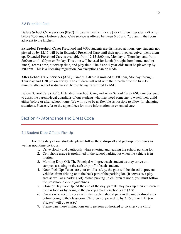#### 3.8 Extended Care

**Before School Care Services (BSC):** If parents need childcare (for children in grades K-8 only) before 7:30 am, a Before School Care service is offered between 6:30 and 7:30 am in the room adjacent to the kitchen.

**Extended Preschool Care:** Preschool and VPK students are dismissed at noon. Any students not picked up by 12:15 will be in Extended Preschool Care until their approved caregiver picks them up. Extended Preschool Care is available from 12:15-3:00 pm, Monday to Thursday, and from 8:00am until 1:30pm on Friday. This time will be used for lunch (brought from home, not hot lunch), recess time, quiet/nap time, and play time. The 3 and 4-year-olds must be picked up by 3:00 pm. This is a licensing regulation. No exceptions can be made.

**After School Care Services (ASC):** Grades K-8 are dismissed at 3:00 pm, Monday through Thursday and 1:30 pm on Friday. The children will wait with their teacher for the first 15 minutes after school is dismissed, before being transferred to ASC.

Before School Care (BSC), Extended Preschool Care, and After School Care (ASC) are designed to assist the parents/legal guardians of our students who may need someone to watch their child either before or after school hours. We will try to be as flexible as possible to allow for changing situations. Please refer to the appendices for more information on extended care.

## Section 4- Attendance and Dress Code

#### 4.1 Student Drop-Off and Pick-Up

For the safety of our students, please follow these drop-off and pick-up procedures as well as noontime pick-ups:

- 1. Drive slowly and cautiously when entering and leaving the school parking lot.
- 2. Cell phone usage is prohibited in the school parking lot when the vehicle is in motion.
- 3. Morning Drop Off: The Principal will greet each student as they arrive on campus, assisting in the safe drop-off of each student.
- 4. Noon Pick Up: To ensure your child's safety, the gate will be closed to prevent vehicles from driving onto the back part of the parking lot. (It serves as a play area as well as a parking lot). When picking up children at noon, you must follow the preschool pick-up guidelines.
- 5. Close of Day Pick Up: At the end of the day, parents may pick up their children in the car loop or by going to the pickup area afterschool care (ASC).
- 6. Parents who need to speak with the teacher should park in the middle-lined area before going to the classroom. Children not picked up by 3:15 pm or 1:45 (on Fridays) will go to ASC.
- 7. Please pass these instructions on to persons authorized to pick up your child.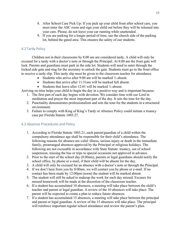- 8. After School Care Pick Up: If you pick up your child from after school care, you must enter the ASC room and sign your child out before they will be released into your care. Please, do not leave your car running while unattended.
- 9. If you are parking for a longer period of time, use the church side of the parking lot, behind the gated area. This ensures the safety of our students.

#### 4.2 Tardy Policy

Children not in their classrooms by 8:00 am are considered tardy. A child will only be excused for a tardy with a doctor's note or through the Principal. At 8:00 am the front gate will lock. Parents and guardians must park in the side lot. Students will need to enter through the locked side gate and ring for the secretary to unlock the gate. Students must go to the front office to receive a tardy slip. This tardy slip must be given to the classroom teacher for attendance.

- Students who arrive after 9:00 am will be marked  $\frac{1}{2}$  absent.
- Students that arrive after 11:31am will be marked full absent.
- Students that leave after 12:01 will be marked  $\frac{1}{2}$  absent.

Arriving on time helps your child to begin the day in a positive way and is important because:

- 1. The first part of each day begins with devotion. We consider time with our Lord in meditation and prayer the most important part of the day. It sets the tone for the day.
- 2. Punctuality demonstrates professionalism and sets the tone for the students in a structured environment.
- 3. Failure to comply with King of King's Tardy or Absence Policy could initiate a truancy case per Florida Statute 1003.27.

#### 4.3 Absence Procedures and Policy

- 1. According to Florida Statute 1003.21, each parent/guardian of a child within the compulsory attendance age shall be responsible for their child's attendance. The following reasons for absence are valid: illness, serious injury or death in the immediate family, prearranged absences approved by the Principal or religious holidays. The following are not excusable in accordance with State Statute: truancy, out of school suspension, missing the bus or trips to special occasions not approved in advance.
- 2. Prior to the start of the school day (8:00am), parents or legal guardians should notify the school office, by phone or e-mail, if their child will be absent for the day.
- 3. A child will only be excused for an absence with a doctor's note or through the Principal.
- 4. If we don't hear from you by 8:00am, we will contact you by phone or e-mail. If no contact has been made by 12:00pm (noon) the student will be marked absent.
- 5. The student will still be asked to makeup the work for each day missed. Excuses for missed homework will be made at the discretion of the classroom teacher.
- 6. If a student has accumulated 10 absences, a meeting will take place between the child's teacher and parent or legal guardian. A review of the 10 absences will take place. The parent will be expected to create a plan to reduce future absences.
- 7. If a student has accumulated 15 absences, a meeting will take place between the principal and parent or legal guardian. A review of the 15 absences will take place. The principal will reinforce important regular school attendance and review the parent's plan.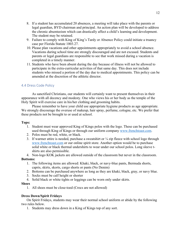- 8. If a student has accumulated 20 absences, a meeting will take place with the parents or legal guardian, BYD chairman and principal. An action plan will be developed to address the chronic absenteeism which can drastically affect a child's learning and development. The student may be retained.
- 9. Failure to comply with King of King's Tardy or Absence Policy could initiate a truancy case per Florida Statute 1003.27.
- 10. Please plan vacations and other appointments appropriately to avoid a school absence. Vacations during school time are strongly discouraged and are not excused. Students and parents or legal guardians are responsible to see that work missed during a vacation is completed in a timely manner.
- 11. Students who have been absent during the day because of illness will not be allowed to participate in the extra-curricular activities of that same day. This does not include students who missed a portion of the day due to medical appointments. This policy can be amended at the discretion of the athletic director.

#### 4.4 Dress Code Policy

As sanctified Christians, our students will certainly want to present themselves in their appearance with all decency and modesty. One who views his or her body as the temple of the Holy Spirit will exercise care in his/her clothing and grooming habits.

Please remember to have your child use appropriate hygiene products as age appropriate. We strongly discourage the overuse of makeup, hair spray, perfume, cologne, etc. We prefer that these products not be brought to or used at school.

#### **Tops:**

- 1. Student must wear approved King of Kings polos with the logo. These can be purchased used through King of Kings or through our uniform company www.frenchtoast.com.
- 2. Polos must be red, white, or black.
- 3. If warmer attire is needed, purchase a sweatshirt or  $\frac{1}{4}$  zip fleece with school logo through www.frenchtoast.com or our online spirit store. Another option would be to purchase solid white or black thermal undershirts to wear under our school polos. Long sleeve tshirts are also permissible.
- 4. Non-logo KOK jackets are allowed outside of the classroom but never in the classroom.

#### **Bottoms:**

- 1. The following items are allowed: Khaki, black, or navy-blue pants, Bermuda shorts, capris, skirts, skorts, cargo shorts or pants (No Denim)
- 2. Bottoms can be purchased anywhere as long as they are khaki, black, gray, or navy blue.
- 3. Socks must be calf height or shorter
- 4. Solid black or white tights or leggings can be worn only under skirts.

#### **Shoes**

1. All shoes must be close-toed (Crocs are not allowed)

#### **Dress Down/Spirit Fridays**

On Spirit Fridays, students may wear their normal school uniform or abide by the following two rules below.

1. Students may dress down in a King of Kings top of any sort.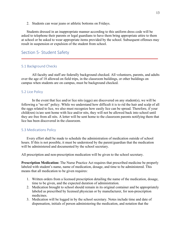2. Students can wear jeans or athletic bottoms on Fridays.

Students dressed in an inappropriate manner according to this uniform dress code will be asked to telephone their parents or legal guardians to have them bring appropriate attire to them at school or be asked to wear appropriate items provided by the school. Subsequent offenses may result in suspension or expulsion of the student from school.

## Section 5- Student Safety

#### 5.1 Background Checks

All faculty and staff are federally background checked. All volunteers, parents, and adults over the age of 18 allowed on field trips, in the classroom buildings, or other buildings on campus when students are on campus, must be background checked.

#### 5.2 Lice Policy

In the event that lice and/or lice nits (eggs) are discovered on any student(s), we will be following a "no nit" policy. While we understand how difficult it is to rid the hair and scalp of all the eggs related to lice, we also must recognize how easily lice can be spread. Therefore, if your child(ren) is/are sent home with lice and/or nits, they will not be allowed back into school until they are free from all nits. A letter will be sent home to the classroom parents notifying them that lice has been discovered in the classroom.

#### 5.3 Medications Policy

Every effort shall be made to schedule the administration of medication outside of school hours. If this is not possible, it must be understood by the parent/guardian that the medication will be administered and documented by the school secretary.

All prescription and non-prescription medication will be given to the school secretary.

**Prescription Medication:** The Nurse Practice Act requires that prescribed medicine be properly labeled with student's name, name of medication, dosage, and time to be administered. This means that all medication to be given requires:

- 1. Written orders from a licensed prescription detailing the name of the medication, dosage, time to be given, and the expected duration of administration.
- 2. Medication brought to school should remain in its original container and be appropriately labeled as prescribed by licensed physician or by manufacturer, for non-prescription medicines.
- 3. Medication will be logged in by the school secretary. Notes include time and date of dispensation, initials of person administering the medication, and notation that the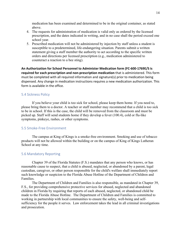medication has been examined and determined to be in the original container, as stated above.

- 4. The requests for administration of medication is valid only as ordered by the licensed prescription, and the dates indicated in writing, and in no case shall the period exceed one school year.
- 5. Prescribed medication will not be administered by injection by staff unless a student is susceptible to a predetermined, life-endangering situation. Parents submit a written statement giving a staff member the authority to act according to the specific written orders and directions per licensed prescription (e.g., medication administered to counteract a reaction to a bee sting).

**An Authorization for School Personnel to Administer Medication form (FC-600-1769E/S is required for each prescription and non-prescription medication** that is administered. This form must be completed with all required information and signature(s) prior to medication being dispensed. Any change in medication instructions requires a new medication authorization. This form is available in the office.

#### 5.4 Sickness Policy

If you believe your child is too sick for school, please keep them home. If you need to, please bring them to a doctor. A teacher or staff member may recommend that a child is too sick to be in school. If this is the case, the child will be removed from the classroom and must be picked up. Staff will send students home if they develop a fever (100.4), cold or flu-like symptoms, pinkeye, rashes, or other symptoms.

#### 5.5 Smoke-Free Environment

The campus at King of Kings is a smoke-free environment. Smoking and use of tobacco products will not be allowed within the building or on the campus of King of Kings Lutheran School at any time.

#### 5.6 Mandatory Reporting

Chapter 39 of the Florida Statutes (F.S.) mandates that any person who knows, or has reasonable cause to suspect, that a child is abused, neglected, or abandoned by a parent, legal custodian, caregiver, or other person responsible for the child's welfare shall immediately report such knowledge or suspicion to the Florida Abuse Hotline of the Department of Children and Families.

The Department of Children and Families is also responsible, as mandated in Chapter 39, F.S., for providing comprehensive protective services for abused, neglected and abandoned children in Florida by requiring that reports of each abused, neglected, or abandoned child be made to the Florida Abuse Hotline. The Department of Children and Families is committed to working in partnership with local communities to ensure the safety, well-being and selfsufficiency for the people it serves. Law enforcement takes the lead in all criminal investigations and prosecution.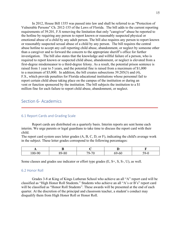In 2012, House Bill 1355 was passed into law and shall be referred to as "Protection of Vulnerable Persons" Ch. 2012‐155 of the Laws of Florida. The bill adds to the current reporting requirements of 39.201, F.S removing the limitation that only "caregiver" abuse be reported to the hotline by requiring any person to report known or reasonably suspected physical or emotional abuse of a child by any adult person. The bill also requires any person to report known or reasonably suspected sexual abuse of a child by any person. The bill requires the central abuse hotline to accept any call reporting child abuse, abandonment, or neglect by someone other than a caregiver and to forward the concern to the appropriate sheriff's office for further investigation. The bill also states that the knowledge and willful failure of a person, who is required to report known or suspected child abuse, abandonment, or neglect is elevated from a first-degree misdemeanor to a third-degree felony. As a result, the potential prison sentence is raised from 1 year to 5 years, and the potential fine is raised from a maximum of \$1,000 to a maximum of \$5,000. In addition, the bill creates subsections 39.205(3) and (4), F.S., which provide penalties for Florida educational institutions whose personnel fail to report certain child abuse taking place on the campus of the institution or during an vent or function sponsored by the institution. The bill subjects the institution to a \$1 million fine for each failure to report child abuse, abandonment, or neglect.

## Section 6- Academics

#### 6.1 Report Cards and Grading Scale

Report cards are distributed on a quarterly basis. Interim reports are sent home each interim. We urge parents or legal guardians to take time to discuss the report card with their child.

The report card system uses letter grades (A, B, C, D, or F), indicating the child's average work in the subject. These letter grades correspond to the following percentages:

|         |       |           | ┻                  |                       |
|---------|-------|-----------|--------------------|-----------------------|
| $00-90$ | 89-80 | .70<br>ч- | $\sqrt{2}$<br>いりこん | $\sim$ $\sim$<br>`Y-. |

Some classes and grades use indicator or effort type grades (E, S+, S, S-, U), as well.

#### 6.2 Honor Roll

Grades 3-8 at King of Kings Lutheran School who achieve an all "A" report card will be classified as "High Honor Roll Students." Students who achieve an all "A's or B's" report card will be classified as "Honor Roll Students". These awards will be presented at the end of each quarter. At the discretion of the principal and classroom teacher, a student's conduct may disqualify them from High Honor Roll or Honor Roll.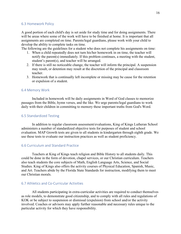#### 6.3 Homework Policy

A good portion of each child's day is set aside for study time and for doing assignments. There will be areas where some of the work will have to be finished at home. It is important that all assignments are completed on time. Parents/legal guardians, please work with your child to develop the ability to complete tasks on time.

The following are the guidelines for a student who does not complete his assignments on time:

- 1. When a child repeatedly does not turn his/her homework in on time, the teacher will notify the parent(s) immediately. If this problem continues, a meeting with the student, student's parent(s), and teacher will be arranged.
- 2. If there is still no noticeable change, the teacher will inform the principal. A suspension may result, or detention may result at the discretion of the principal and classroom teacher.
- 3. Homework that is continually left incomplete or missing may be cause for the retention or expulsion of a student.

#### 6.4 Memory Work

Included in homework will be daily assignments in Word of God classes to memorize passages from the Bible, hymn verses, and the like. We urge parents/legal guardians to work daily with their children in committing to memory these important truths from God's Word.

#### 6.5 Standardized Testing

In addition to regular classroom assessment/evaluations, King of Kings Lutheran School administers a number of standardized objective tests for purposes of student and school evaluation. MAP Growth tests are given to all students in kindergarten through eighth grade. We use these tests to evaluate our instruction practices as well as student proficiency.

#### 6.6 Curriculum and Standard Practice

Teachers at King of Kings teach religion and Bible History to all students daily. This could be done in the form of devotion, chapel services, or our Christian curriculum. Teachers also teach students the core subjects of Math, English Language Arts, Science, and Social Studies. King of Kings also offers the activity courses of Physical Education, Spanish, Music, and Art. Teachers abide by the Florida State Standards for instruction, modifying them to meet our Christian morals.

#### 6.7 Athletics and Co-Curricular Activities

All students participating in extra-curricular activities are required to conduct themselves as role models, to demonstrate good citizenship, and to comply with all rules and regulations of KOK or be subject to suspension or dismissal (expulsion) from school and/or the activity involved. Coaches or advisors may apply further reasonable and necessary rules unique to the particular activity for which they have responsibility.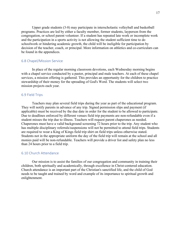Upper grade students (3-8) may participate in interscholastic volleyball and basketball programs. Practices are led by either a faculty member, former students, layperson from the congregation, or school parent volunteer. If a student has repeated late work or incomplete work and the participation in a sports activity is not allowing the student sufficient time to do schoolwork or hindering academic growth, the child will be ineligible for participation by decision of the teacher, coach, or principal. More information on athletics and co-curriculars can be found in the appendices.

#### 6.8 Chapel/Mission Service

In place of the regular morning classroom devotions, each Wednesday morning begins with a chapel service conducted by a pastor, principal and male teachers. At each of these chapel services, a mission offering is gathered. This provides an opportunity for the children to practice stewardship of their money for the spreading of God's Word. The students will select two mission projects each year.

#### 6.9 Field Trips

Teachers may plan several field trips during the year as part of the educational program. They will notify parents in advance of any trip. Signed permission slips and payment (if applicable) must be received by the due date in order for the student to be allowed to participate. Due to deadlines enforced by different venues field trip payments are non-refundable even if a student misses the trip due to illness. Teachers will request parent chaperones as needed. Chaperones must have a valid background screening 72 hours prior to the trip. Any student who has multiple disciplinary referrals/suspensions will not be permitted to attend field trips. Students are required to wear a King of Kings field trip shirt on field trips unless otherwise stated. Students not in the appropriate uniform the day of the field trip will remain at the school and all monies paid will be non-refundable. Teachers will provide a driver list and safety plan no less than 24 hours prior to a field trip.

#### 6.10 Church Attendance

Our mission is to assist the families of our congregation and community in training their children, both spiritually and academically, through excellence in Christ-centered education. Church attendance is an important part of the Christian's sanctified life, and the child of God needs to be taught and trained by word and example of its importance to spiritual growth and enlightenment.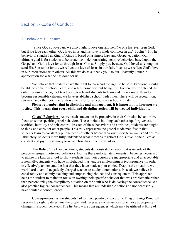#### 7.1 Behavioral Guidelines

"Since God so loved us, we also ought to love one another. No one has ever seen God; but if we love each other, God lives in us and his love is made complete in us." 1 John 4:11 The behavioral standard at King of Kings is based on a simple Law and Gospel equation. Our ultimate goal is for students to be proactive in demonstrating positive behaviors based upon the Gospel and God's love for us through Jesus Christ. Simply put, because God loved us enough to send His Son to die for us, we reflect the love of Jesus in our daily lives as we reflect God's love in our interactions with others. All this we do as a "thank you" to our Heavenly Father in appreciation for what he has done for us.

We believe that students have the right to learn and the right to be safe. Everyone should be able to come to school, learn, and return home without being hurt, bothered or frightened. In order to ensure the right of teachers to teach and students to learn and to encourage them to become responsible citizens, we have established school-wide rules. There will be recognition, rewards, and other positive reinforcements to foster a positive school climate.

#### **Please remember that in discipline and management, it is important to incorporate justice. This means that every child and discipline action will be treated individually.**

**Gospel Behaviors:** As we teach students to be proactive in their Christian behavior, we focus on some specific gospel behaviors. These include building each other up, forgiveness, sacrifice, humility and self-control. In each of these behaviors and attributes, students are taught to think and consider other people. This truly represents the gospel made manifest in that students learn to constantly put the needs of others before their own short term wants and desires. Ultimately, students more fully understand what it means to reflect God's love in their lives as constant and joyful testimony to what Christ has done for all of us.

**The Role of the Law:** At times, students demonstrate behavior that is outside of the proactive, gospel motivated behaviors. During these unfortunate moments it becomes necessary to utilize the Law as a tool to show students that their actions are inappropriate and unacceptable. Essentially, students who have misbehaved must endure unpleasantness (consequence) in order to effectively understand the fact that they have made a poor choice. Despite the situation, we work hard to avoid negatively charged teacher-to-student interactions. Instead, we believe in consistently and calmly teaching and emphasizing choices and consequences. This approach helps the student to maintain focus on owning their specific behavior that was problematic rather than personalizing the disciplinary situation on the adult who is delivering the consequence. We also practice logical consequences. This means that all undesirable actions do not necessarily have equitable consequences.

**Consequences:** When students fail to make positive choices, the King of Kings Principal reserves the right to determine the proper and necessary consequences to achieve appropriate changes in student behavior. The list below are consequences which may be utilized at King of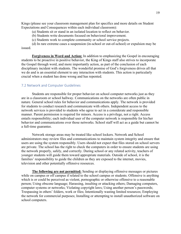Kings (please see your classroom management plan for specifics and more details on Student Expectations and Consequences within each individual classroom):

- (a) Students sit or stand in an isolated location to reflect on behavior.
- (b) Students write documents focused on behavioral improvement.
- (c) Students work to complete community or school service projects.

(d) In rare extreme cases a suspension (in-school or out-of-school) or expulsion may be issued.

**Forgiveness in Word and Action:** In addition to emphasizing the Gospel in encouraging students to be proactive in positive behavior, the King of Kings staff also strives to incorporate the Gospel through word, and more importantly action, as part of the conclusion of each disciplinary incident with students. The wonderful promise of God's forgiveness drives all that we do and is an essential element to any interaction with students. This action is particularly crucial when a student has done wrong and has repented.

#### 7.2 Network and Computer Guidelines

Students are responsible for proper behavior on school computer networks just as they are in a classroom or school hallway. Communications on the networks are often public in nature. General school rules for behavior and communications apply. The network is provided for students to conduct research and communicate with others. Independent access to the network services is provided to students who agree to act in a considerate and responsible manner. Parent permission is required for minors. Access is a privilege, not a right. Access entails responsibility; each individual user of the computer network is responsible for his/her behavior and communications over those networks. School staff will act as a guide but cannot be a full-time guarantee.

Network storage areas may be treated like school lockers. Network and School administrators may review files and communications to maintain system integrity and ensure that users are using the system responsibly. Users should not expect that files stored on school servers are private. The school has the right to check the computers in order to ensure students are using the network properly, safely, and correctly. During school or any related activity, teachers of younger students will guide them toward appropriate materials. Outside of school, it is the families' responsibility to guide the children as they are exposed to the internet, movies, television and other potentially offensive resources.

**The following are not permitted:** Sending or displaying offensive messages or pictures while on campus or off campus if related to the school campus or students. Offensive is anything which is or could be perceived as violent, pornographic or otherwise offensive to a reasonable person; Using obscene language; Harassing, insulting or attacking others; Damaging computers, computer systems or networks; Violating copyright laws; Using another person's passwords; Trespassing in others' folders, work or files; Intentionally wasting limited resources; Employing the network for commercial purposes; Installing or attempting to install unauthorized software on school computers.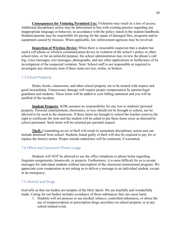**Consequences for Violating Permitted Use:** Violations may result in a loss of access; Additional disciplinary action may be determined in line with existing practice regarding any inappropriate language or behavior, in accordance with the policy stated in the student handbook; Students/parents may be responsible for paying for the repair of damaged files, programs and/or equipment caused by misuses; When applicable, law enforcement agencies may be involved.

**Inspection of Wireless Device:** When there is reasonable suspicion that a student has used a cell phone or wireless communication device in violation of the school's policy or other school rules, or for an unlawful purpose, the school administration may review the phone's call log, voice messages, text messages, photographs, and any other applications in furtherance of its investigation of the suspected violation. Note: School staff is not responsible or required to investigate any electronic item if these items are lost, stolen, or broken.

#### 7.3 School Property

Desks, books, classrooms, and other school property are to be treated with respect and good stewardship. Unnecessary damage will require proper compensation by parents/legal guardians and students. These items will be added to your billing statement and you will be notified of the incident.

**Student Property**: KOK assumes no responsibility for any loss to students' personal property. Personal entertainment, electronics, or toys should not be brought to school, nor be allowed to be used in the classroom. If these items are brought to school the teacher reserves the right to confiscate the item and the student will be asked to put these items away as directed by school personnel. Such items will be returned per parental request.

**Theft:** Committing an act of theft will result in immediate disciplinary action and can include dismissal from school. Students found guilty of theft will also be required to pay for or replace the item(s) stolen. Proper outside authorities will be contacted, if warranted.

#### 7.4 Office and Classroom Phone Usage

Students will NOT be allowed to use the office telephone to phone home regarding forgotten assignments, homework, or projects. Furthermore, it is most difficult for us to accept messages for individual students without interruption of the classroom instructional program. We appreciate your cooperation in not asking us to deliver a message to an individual student, except in an emergency.

#### 7.5 Alcohol and Drugs

God tells us that our bodies are temples of the Holy Spirit. We are fearfully and wonderfully made. Caring for our bodies includes avoidance of those substances that can cause harm.

1. Students will not possess or use alcohol, tobacco, controlled substances, or abuse the use of nonprescription or prescription drugs anywhere on school property or at any school-related event.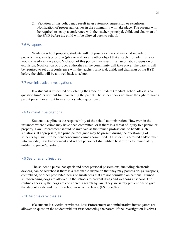2. Violation of this policy may result in an automatic suspension or expulsion. Notification of proper authorities in the community will take place. The parents will be required to set up a conference with the teacher, principal, child, and chairman of the BYD before the child will be allowed back to school.

#### 7.6 Weapons

While on school property, students will not possess knives of any kind including pocketknives, any type of gun (play or real) or any other object that a teacher or administrator would classify as a weapon. Violation of this policy may result in an automatic suspension or expulsion. Notification of proper authorities in the community will take place. The parents will be required to set up a conference with the teacher, principal, child, and chairman of the BYD before the child will be allowed back to school.

#### 7.7 Administrative Investigations

If a student is suspected of violating the Code of Student Conduct, school officials can question him/her without first contacting the parent. The student does not have the right to have a parent present or a right to an attorney when questioned.

#### 7.8 Criminal Investigations

Student discipline is the responsibility of the school administration. However, in the instances where a crime may have been committed, or if there is a threat of injury to a person or property, Law Enforcement should be involved as the trained professional to handle such situations. If appropriate, the principal/designee may be present during the questioning of students by Law Enforcement concerning crimes committed. If a student is arrested and/or taken into custody, Law Enforcement and school personnel shall utilize best efforts to immediately notify the parent/guardian.

#### 7.9 Searches and Seizures

The student's purse, backpack and other personal possessions, including electronic devices, can be searched if there is a reasonable suspicion that they may possess drugs, weapons, contraband, or other prohibited items or substances that are not permitted on campus. Trained sniff-screening dogs are allowed in the schools to prevent drugs and weapons at school. The routine checks by the dogs are considered a search by law. They are safety preventions to give the student a safe and healthy school in which to learn. (FS 1006.09)

#### 7.10 Victims or Witnesses

If a student is a victim or witness, Law Enforcement or administrative investigators are allowed to question the student without first contacting the parent. If the investigation involves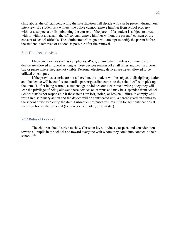child abuse, the official conducting the investigation will decide who can be present during your interview. If a student is a witness, the police cannot remove him/her from school property without a subpoena or first obtaining the consent of the parent. If a student is subject to arrest, with or without a warrant, the officer can remove him/her without the parents' consent or the consent of school officials. The administrator/designee will attempt to notify the parent before the student is removed or as soon as possible after the removal.

#### 7.11 Electronic Devices

Electronic devices such as cell phones, iPods, or any other wireless communication device are allowed in school as long as these devices remain off at all times and kept in a book bag or purse where they are not visible. Personal electronic devices are never allowed to be utilized on campus.

If the previous criteria are not adhered to, the student will be subject to disciplinary action and the device will be confiscated until a parent/guardian comes to the school office to pick up the item. If, after being warned, a student again violates our electronic device policy they will lose the privilege of being allowed these devices on campus and may be suspended from school. School staff is not responsible if these items are lost, stolen, or broken. Failure to comply will result in disciplinary action and the device will be confiscated until a parent/guardian comes to the school office to pick up the item. Subsequent offenses will result in longer confiscations at the discretion of the principal (I.e. a week, a quarter, or semester).

#### 7.12 Rules of Conduct

The children should strive to show Christian love, kindness, respect, and consideration toward all pupils in the school and toward everyone with whom they come into contact in their school life.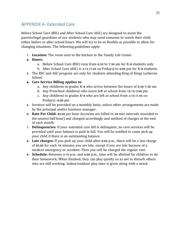## APPENDIX A- Extended Care

Before School Care (BSC) and After School Care (ASC) are designed to assist the parents/legal guardians of our students who may need someone to watch their child either before or after school hours. We will try to be as flexible as possible to allow for changing situations. The following guidelines apply:

1. **Location:** The room next to the kitchen in the Family Life Center

## **2. Hours:**

- a. Before School Care (BSC) runs from 6:35 to 7:30 am for K-8 students only
- b. After School Care (ASC) is 3:15 (1:45 on Fridays) to 6:00 pm for K-8 students.
- 3. The BSC and ASC program are only for students attending King of Kings Lutheran School.

## **4. Care Service Billing applies to:**

- a. Any child(ren) in grades K-8 who arrive between the hours of 6:30-7:30 am
- b. Any Preschool child(ren) who is/are left at school from 12:15-3:00 pm
- c. Any child(ren) in grades K-8 who are left at school from 3:15 (1:45 on  $Fridays$ ) -6:00 pm
- 5. Invoices will be provided on a monthly basis, unless other arrangements are made by the principal and/or business manager.
- 6. **Rate Per Child: \$5.00** per hour Accounts are billed in 30 min intervals (rounded to the nearest half hour) and charged accordingly and notified of charges at the end of each month.
- 7. **Delinquencies:** If your extended care bill is delinquent, no care services will be provided until your balance is paid in full. You will be notified to come pick up your child if there is an outstanding balance.
- 8. **Late charges:** If you pick up your child after 6:00 p.m., there will be a late charge of \$5.00 for each 10 minutes you are late, except if you are late because of a medical emergency or accident. Then you will be charged the regular rate.
- 9. **Schedule:** Between 3:15 p.m. and 6:00 p.m., time will be allotted for children to do their homework. When finished, they can play quietly so as not to disturb others who are still working. Indoor/outdoor play time is given along with a snack.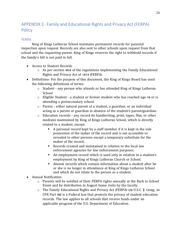## APPENDIX C- Family and Educational Rights and Privacy Act (FERPA) **Policy**

#### FERPA

King of Kings Lutheran School maintains permanent records for parental inspection upon request. Records are also sent to other schools upon request from that school and the requesting parent. King of Kings reserves the right to withhold records if the family's bill is not paid in full.

- Access to Student Records
	- o As per section 99.6 of the regulations implementing the Family Educational Rights and Privacy Act of 1974 (FERPA)
- Definitions- For the purpose of this document, the King of Kings Board has used the following definitions of terms:
	- o Student any person who attends or has attended King of Kings Lutheran School
	- o Eligible Student a student or former student who has reached age 18 or is attending a postsecondary school.
	- o Parent either natural parent of a student, a guardian, or an individual acting as a parent or guardian in absence of the student's parent/guardian.
	- o Education records any record (in handwriting, print, tapes, film, or other medium) maintained by King of Kings Lutheran School, which is directly related to a student, except:
		- A personal record kept by a staff member if it is kept in the sole possession of the maker of the record and is not accessible or revealed to other persons except a temporary substitute for the maker of the record.
		- Records created and maintained in relation to the local law enforcement agencies for law enforcement purposes.
		- An employment record which is used only in relation to a student's employment by King of Kings Lutheran Church or School.
		- Alumni records which contain information about a student after he or she is no longer in attendance at King of Kings Lutheran School and which do not relate to the person as a student.
- Annual Notification
	- o Parents will be notified of their FERPA rights annually at the Back to School Event and by distribution in August home visits by the faculty.
	- o The Family Educational Rights and Privacy Act (FERPA) (20 U.S.C. § 1232g; 34 CFR Part 99) is a Federal law that protects the privacy of student education records. The law applies to all schools that receive funds under an applicable program of the U.S. Department of Education.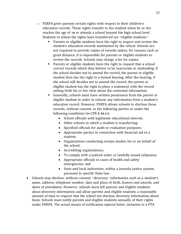- o FERPA gives parents certain rights with respect to their children's education records. These rights transfer to the student when he or she reaches the age of 18 or attends a school beyond the high school level. Students to whom the rights have transferred are "eligible students."
	- Parents or eligible students have the right to inspect and review the student's education records maintained by the school. Schools are not required to provide copies of records unless, for reasons such as great distance, it is impossible for parents or eligible students to review the records. Schools may charge a fee for copies.
	- Parents or eligible students have the right to request that a school correct records which they believe to be inaccurate or misleading. If the school decides not to amend the record, the parent or eligible student then has the right to a formal hearing. After the hearing, if the school still decides not to amend the record, the parent or eligible student has the right to place a statement with the record setting forth his or her view about the contested information.
	- § Generally, schools must have written permission from the parent or eligible student in order to release any information from a student's education record. However, FERPA allows schools to disclose those records, without consent, to the following parties or under the following conditions (34 CFR § 99.31):
		- School officials with legitimate educational interest;
		- Other schools to which a student is transferring;
		- Specified officials for audit or evaluation purposes;
		- Appropriate parties in connection with financial aid to a student;
		- Organizations conducting certain studies for or on behalf of the school;
		- Accrediting organizations;
		- To comply with a judicial order or lawfully issued subpoena;
		- Appropriate officials in cases of health and safety emergencies; and
		- State and local authorities, within a juvenile justice system, pursuant to specific State law.
- Schools may disclose, without consent, "directory" information such as a student's name, address, telephone number, date and place of birth, honors and awards, and dates of attendance. However, schools must tell parents and eligible students about directory information and allow parents and eligible students a reasonable amount of time to request that the school not disclose directory information about them. Schools must notify parents and eligible students annually of their rights under FERPA. The actual means of notification (special letter, inclusion in a PTA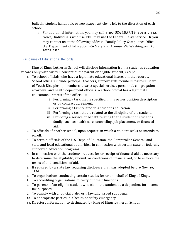bulletin, student handbook, or newspaper article) is left to the discretion of each school.

o For additional information, you may call 1-800-USA-LEARN (1-800-872-5327) (voice). Individuals who use TDD may use the Federal Relay Service. Or you may contact us at the following address: Family Policy Compliance Office U.S. Department of Education 400 Maryland Avenue, SW Washington, D.C. 20202-8520.

## Disclosure of Educational Records

King of Kings Lutheran School will disclose information from a student's education records only with written consent of the parent or eligible student, except:

- 1. To school officials who have a legitimate educational interest in the records. School officials include principal, teachers, support staff members, pastors, Board of Youth Discipleship members, district special services personnel, congregation attorneys, and health department officials. A school official has a legitimate educational interest if the official is:
	- i. Performing a task that is specified in his or her position description or by contract agreement.
	- ii. Performing a task related to a student's education.
	- iii. Performing a task that is related to the discipline of the student.
	- iv. Providing a service or benefit relating to the student or student's family, such as health care, counseling, job placement, or financial aid.
- 2. To officials of another school, upon request, in which a student seeks or intends to enroll.
- 3. To certain officials of the U.S. Dept. of Education, the Comptroller General, and state and local educational authorities, in connection with certain state or federally supported education programs.
- 4. In connection with the student's request for or receipt of financial aid as necessary to determine the eligibility, amount, or conditions of financial aid, or to enforce the terms of and conditions of aid.
- 5. If required by a state law requiring disclosure that was adopted before Nov. 19, 1974.
- 6. To organizations conducting certain studies for or on behalf of King of Kings.
- 7. To accrediting organizations to carry out their functions.
- 8. To parents of an eligible student who claim the student as a dependent for income tax purposes.
- 9. To comply with a judicial order or a lawfully issued subpoena.
- 10. To appropriate parties in a health or safety emergency.
- 11. Directory information so designated by King of Kings Lutheran School.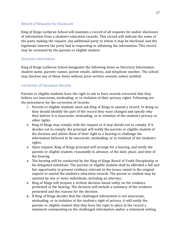#### Record of Requests for Disclosure

King of Kings Lutheran School will maintain a record of all requests for and/or disclosure of information from a student's education records. This record will indicate the name of the party making the request, any additional party to whom it may be disclosed, and the legitimate interest the party had in requesting or obtaining the information. This record may be reviewed by the parents or eligible student

#### Directory Information

King of Kings Lutheran School designates the following items as Directory Information: student name, parents' names, parent emails, address, and telephone number. The school may disclose any of those items without prior written consent, unless notified.

### Correction of Education Records

Parents or eligible students have the right to ask to have records corrected that they believe are inaccurate, misleading, or in violation of their privacy rights. Following are the procedures for the correction of records:

- 1. Parents or eligible students must ask King of Kings to amend a record. In doing so, they should identify the part of the record they want changed and specify why they believe it is inaccurate, misleading, or in violation of the student's privacy or other rights.
- 2. King of Kings may comply with the request or it may decide not to comply. If it decides not to comply, the principal will notify the parents or eligible student of the decision and advise them of their right to a hearing to challenge the information believed to be inaccurate, misleading, or in violation of the student's rights.
- 3. Upon request, King of Kings principal will arrange for a hearing, and notify the parents or eligible student, reasonably in advance, of the date, place, and time of the hearing.
- 4. The hearing will be conducted by the King of Kings Board of Youth Discipleship or his delegated substitute. The parents or eligible student shall be afforded a full and fair opportunity to present evidence relevant to the issues raised in the original request to amend the student's education records. The parent or student may be assisted by one or more individuals, including an attorney.
- 5. King of Kings will prepare a written decision based solely on the evidence presented at the hearing. The decision will include a summary of the evidence presented and the reasons for the decision.
- 6. If King of Kings decides that the challenged information is not inaccurate, misleading, or in violation of the student's right of privacy, it will notify the parents or eligible student that they have the right to place in the record a statement commenting on the challenged information and/or a statement setting